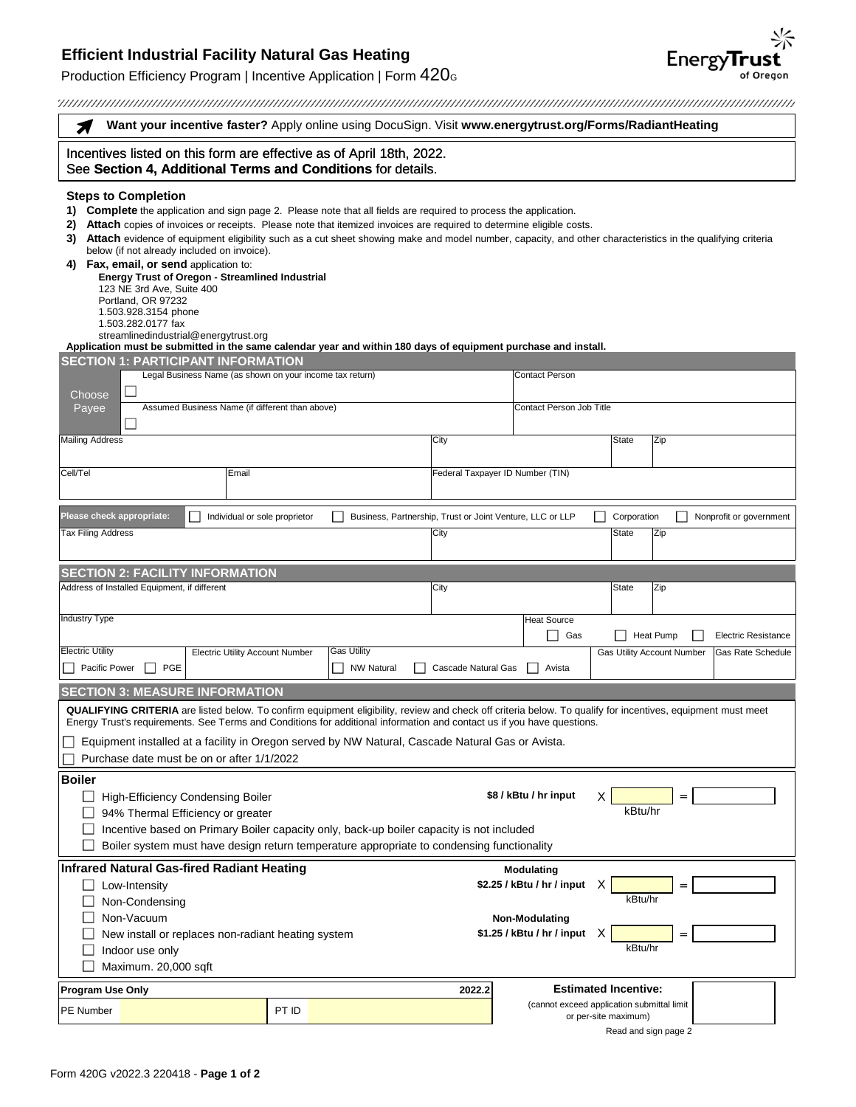## **Efficient Industrial Facility Natural Gas Heating**

Production Efficiency Program | Incentive Application | Form  $420<sub>G</sub>$ 

Energy**Trust** 

|                                                                                                                                                                                                                                        | Want your incentive faster? Apply online using DocuSign. Visit www.energytrust.org/Forms/RadiantHeating                                                                                                                                                                                                                                                                                                                                                                                                                                                                                                                  |                    |                                                           |                                            |                             |                                                              |
|----------------------------------------------------------------------------------------------------------------------------------------------------------------------------------------------------------------------------------------|--------------------------------------------------------------------------------------------------------------------------------------------------------------------------------------------------------------------------------------------------------------------------------------------------------------------------------------------------------------------------------------------------------------------------------------------------------------------------------------------------------------------------------------------------------------------------------------------------------------------------|--------------------|-----------------------------------------------------------|--------------------------------------------|-----------------------------|--------------------------------------------------------------|
| Incentives listed on this form are effective as of April 18th, 2022.<br>See Section 4, Additional Terms and Conditions for details.                                                                                                    |                                                                                                                                                                                                                                                                                                                                                                                                                                                                                                                                                                                                                          |                    |                                                           |                                            |                             |                                                              |
| <b>Steps to Completion</b><br>1)<br>2)<br>3)<br>below (if not already included on invoice).<br>4) Fax, email, or send application to:<br>123 NE 3rd Ave, Suite 400<br>Portland, OR 97232<br>1.503.928.3154 phone<br>1.503.282.0177 fax | Complete the application and sign page 2. Please note that all fields are required to process the application.<br>Attach copies of invoices or receipts. Please note that itemized invoices are required to determine eligible costs.<br>Attach evidence of equipment eligibility such as a cut sheet showing make and model number, capacity, and other characteristics in the qualifying criteria<br><b>Energy Trust of Oregon - Streamlined Industrial</b><br>streamlinedindustrial@energytrust.org<br>Application must be submitted in the same calendar year and within 180 days of equipment purchase and install. |                    |                                                           |                                            |                             |                                                              |
|                                                                                                                                                                                                                                        | <b>SECTION 1: PARTICIPANT INFORMATION</b>                                                                                                                                                                                                                                                                                                                                                                                                                                                                                                                                                                                |                    |                                                           | <b>Contact Person</b>                      |                             |                                                              |
| Choose                                                                                                                                                                                                                                 | Legal Business Name (as shown on your income tax return)                                                                                                                                                                                                                                                                                                                                                                                                                                                                                                                                                                 |                    |                                                           |                                            |                             |                                                              |
| Payee                                                                                                                                                                                                                                  | Assumed Business Name (if different than above)                                                                                                                                                                                                                                                                                                                                                                                                                                                                                                                                                                          |                    |                                                           | Contact Person Job Title                   |                             |                                                              |
| <b>Mailing Address</b>                                                                                                                                                                                                                 |                                                                                                                                                                                                                                                                                                                                                                                                                                                                                                                                                                                                                          |                    | City                                                      |                                            | <b>State</b>                | Zip                                                          |
|                                                                                                                                                                                                                                        |                                                                                                                                                                                                                                                                                                                                                                                                                                                                                                                                                                                                                          |                    |                                                           |                                            |                             |                                                              |
| Cell/Tel                                                                                                                                                                                                                               | Email                                                                                                                                                                                                                                                                                                                                                                                                                                                                                                                                                                                                                    |                    | Federal Taxpayer ID Number (TIN)                          |                                            |                             |                                                              |
| Please check appropriate:                                                                                                                                                                                                              | Individual or sole proprietor                                                                                                                                                                                                                                                                                                                                                                                                                                                                                                                                                                                            |                    | Business, Partnership, Trust or Joint Venture, LLC or LLP |                                            | Corporation                 | Nonprofit or government                                      |
| Tax Filing Address                                                                                                                                                                                                                     |                                                                                                                                                                                                                                                                                                                                                                                                                                                                                                                                                                                                                          |                    | City                                                      |                                            | <b>State</b>                | Zip                                                          |
|                                                                                                                                                                                                                                        |                                                                                                                                                                                                                                                                                                                                                                                                                                                                                                                                                                                                                          |                    |                                                           |                                            |                             |                                                              |
| <b>SECTION 2: FACILITY INFORMATION</b>                                                                                                                                                                                                 |                                                                                                                                                                                                                                                                                                                                                                                                                                                                                                                                                                                                                          |                    |                                                           |                                            |                             |                                                              |
| Address of Installed Equipment, if different                                                                                                                                                                                           |                                                                                                                                                                                                                                                                                                                                                                                                                                                                                                                                                                                                                          |                    | City                                                      |                                            | <b>State</b>                | Zip                                                          |
| <b>Industry Type</b>                                                                                                                                                                                                                   |                                                                                                                                                                                                                                                                                                                                                                                                                                                                                                                                                                                                                          |                    |                                                           | <b>Heat Source</b>                         |                             |                                                              |
| <b>Electric Utility</b>                                                                                                                                                                                                                |                                                                                                                                                                                                                                                                                                                                                                                                                                                                                                                                                                                                                          | <b>Gas Utility</b> |                                                           | $\Box$<br>Gas                              |                             | Heat Pump<br><b>Electric Resistance</b><br>Gas Rate Schedule |
| <b>PGE</b><br>Pacific Power                                                                                                                                                                                                            | <b>Electric Utility Account Number</b>                                                                                                                                                                                                                                                                                                                                                                                                                                                                                                                                                                                   | <b>NW Natural</b>  | <b>Cascade Natural Gas</b>                                | Avista                                     |                             | <b>Gas Utility Account Number</b>                            |
| <b>SECTION 3: MEASURE INFORMATION</b>                                                                                                                                                                                                  |                                                                                                                                                                                                                                                                                                                                                                                                                                                                                                                                                                                                                          |                    |                                                           |                                            |                             |                                                              |
|                                                                                                                                                                                                                                        | <b>QUALIFYING CRITERIA</b> are listed below. To confirm equipment eligibility, review and check off criteria below. To qualify for incentives, equipment must meet                                                                                                                                                                                                                                                                                                                                                                                                                                                       |                    |                                                           |                                            |                             |                                                              |
|                                                                                                                                                                                                                                        | Energy Trust's requirements. See Terms and Conditions for additional information and contact us if you have questions.                                                                                                                                                                                                                                                                                                                                                                                                                                                                                                   |                    |                                                           |                                            |                             |                                                              |
|                                                                                                                                                                                                                                        | Equipment installed at a facility in Oregon served by NW Natural, Cascade Natural Gas or Avista.<br>Purchase date must be on or after 1/1/2022                                                                                                                                                                                                                                                                                                                                                                                                                                                                           |                    |                                                           |                                            |                             |                                                              |
| <b>Boiler</b>                                                                                                                                                                                                                          |                                                                                                                                                                                                                                                                                                                                                                                                                                                                                                                                                                                                                          |                    |                                                           |                                            |                             |                                                              |
|                                                                                                                                                                                                                                        | <b>High-Efficiency Condensing Boiler</b><br>94% Thermal Efficiency or greater<br>Incentive based on Primary Boiler capacity only, back-up boiler capacity is not included<br>Boiler system must have design return temperature appropriate to condensing functionality                                                                                                                                                                                                                                                                                                                                                   |                    |                                                           | \$8 / kBtu / hr input                      | х<br>kBtu/hr                |                                                              |
|                                                                                                                                                                                                                                        | Infrared Natural Gas-fired Radiant Heating                                                                                                                                                                                                                                                                                                                                                                                                                                                                                                                                                                               |                    |                                                           | <b>Modulating</b>                          |                             |                                                              |
| Low-Intensity                                                                                                                                                                                                                          |                                                                                                                                                                                                                                                                                                                                                                                                                                                                                                                                                                                                                          |                    |                                                           | \$2.25 / kBtu / hr / input                 | х                           | $=$                                                          |
| Non-Condensing                                                                                                                                                                                                                         |                                                                                                                                                                                                                                                                                                                                                                                                                                                                                                                                                                                                                          |                    |                                                           |                                            | kBtu/hr                     |                                                              |
| Non-Vacuum<br><b>Non-Modulating</b><br>\$1.25 / kBtu / hr / input<br>X<br>New install or replaces non-radiant heating system<br>$=$                                                                                                    |                                                                                                                                                                                                                                                                                                                                                                                                                                                                                                                                                                                                                          |                    |                                                           |                                            |                             |                                                              |
| Indoor use only                                                                                                                                                                                                                        |                                                                                                                                                                                                                                                                                                                                                                                                                                                                                                                                                                                                                          |                    |                                                           |                                            | kBtu/hr                     |                                                              |
| Maximum. 20,000 sqft                                                                                                                                                                                                                   |                                                                                                                                                                                                                                                                                                                                                                                                                                                                                                                                                                                                                          |                    |                                                           |                                            |                             |                                                              |
| <b>Program Use Only</b>                                                                                                                                                                                                                |                                                                                                                                                                                                                                                                                                                                                                                                                                                                                                                                                                                                                          |                    | 2022.2                                                    |                                            | <b>Estimated Incentive:</b> |                                                              |
| PE Number                                                                                                                                                                                                                              | PT ID                                                                                                                                                                                                                                                                                                                                                                                                                                                                                                                                                                                                                    |                    |                                                           | (cannot exceed application submittal limit | or per-site maximum)        |                                                              |
|                                                                                                                                                                                                                                        |                                                                                                                                                                                                                                                                                                                                                                                                                                                                                                                                                                                                                          |                    |                                                           |                                            | Read and sign page 2        |                                                              |